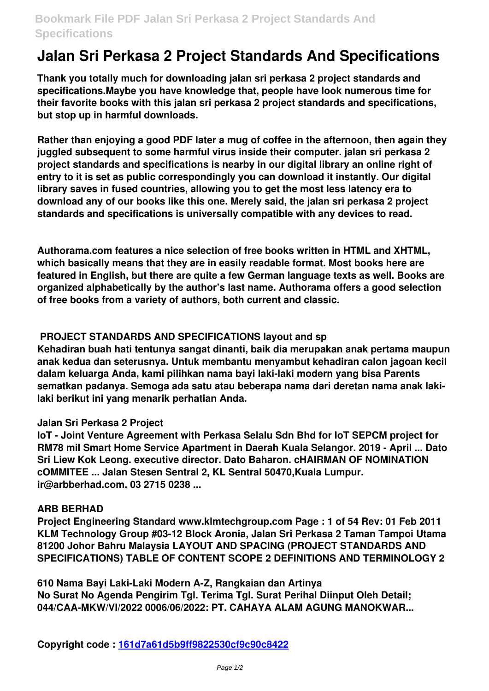## **Bookmark File PDF Jalan Sri Perkasa 2 Project Standards And Specifications**

# **Jalan Sri Perkasa 2 Project Standards And Specifications**

**Thank you totally much for downloading jalan sri perkasa 2 project standards and specifications.Maybe you have knowledge that, people have look numerous time for their favorite books with this jalan sri perkasa 2 project standards and specifications, but stop up in harmful downloads.**

**Rather than enjoying a good PDF later a mug of coffee in the afternoon, then again they juggled subsequent to some harmful virus inside their computer. jalan sri perkasa 2 project standards and specifications is nearby in our digital library an online right of entry to it is set as public correspondingly you can download it instantly. Our digital library saves in fused countries, allowing you to get the most less latency era to download any of our books like this one. Merely said, the jalan sri perkasa 2 project standards and specifications is universally compatible with any devices to read.**

**Authorama.com features a nice selection of free books written in HTML and XHTML, which basically means that they are in easily readable format. Most books here are featured in English, but there are quite a few German language texts as well. Books are organized alphabetically by the author's last name. Authorama offers a good selection of free books from a variety of authors, both current and classic.**

### **PROJECT STANDARDS AND SPECIFICATIONS layout and sp**

**Kehadiran buah hati tentunya sangat dinanti, baik dia merupakan anak pertama maupun anak kedua dan seterusnya. Untuk membantu menyambut kehadiran calon jagoan kecil dalam keluarga Anda, kami pilihkan nama bayi laki-laki modern yang bisa Parents sematkan padanya. Semoga ada satu atau beberapa nama dari deretan nama anak lakilaki berikut ini yang menarik perhatian Anda.**

### **Jalan Sri Perkasa 2 Project**

**IoT - Joint Venture Agreement with Perkasa Selalu Sdn Bhd for IoT SEPCM project for RM78 mil Smart Home Service Apartment in Daerah Kuala Selangor. 2019 - April ... Dato Sri Liew Kok Leong. executive director. Dato Baharon. cHAIRMAN OF NOMINATION cOMMITEE ... Jalan Stesen Sentral 2, KL Sentral 50470,Kuala Lumpur. ir@arbberhad.com. 03 2715 0238 ...**

#### **ARB BERHAD**

**Project Engineering Standard www.klmtechgroup.com Page : 1 of 54 Rev: 01 Feb 2011 KLM Technology Group #03-12 Block Aronia, Jalan Sri Perkasa 2 Taman Tampoi Utama 81200 Johor Bahru Malaysia LAYOUT AND SPACING (PROJECT STANDARDS AND SPECIFICATIONS) TABLE OF CONTENT SCOPE 2 DEFINITIONS AND TERMINOLOGY 2**

**610 Nama Bayi Laki-Laki Modern A-Z, Rangkaian dan Artinya No Surat No Agenda Pengirim Tgl. Terima Tgl. Surat Perihal Diinput Oleh Detail; 044/CAA-MKW/VI/2022 0006/06/2022: PT. CAHAYA ALAM AGUNG MANOKWAR...**